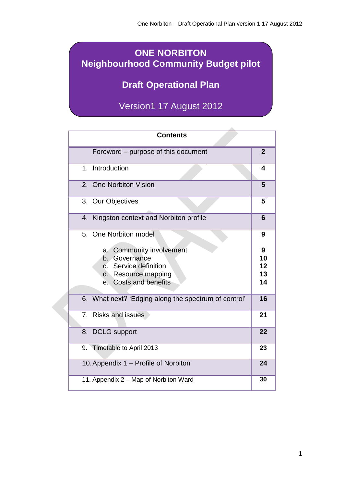# **ONE NORBITON Neighbourhood Community Budget pilot**

# **Draft Operational Plan**

Version1 17 August 2012

| <b>Contents</b>                                                                                                                          |                           |
|------------------------------------------------------------------------------------------------------------------------------------------|---------------------------|
| Foreword – purpose of this document                                                                                                      | $\overline{2}$            |
| Introduction<br>1 <sup>1</sup>                                                                                                           | 4                         |
| 2. One Norbiton Vision                                                                                                                   | 5                         |
| 3. Our Objectives                                                                                                                        | 5                         |
| Kingston context and Norbiton profile<br>4.                                                                                              | 6                         |
| 5. One Norbiton model                                                                                                                    | 9                         |
| <b>Community involvement</b><br>a.<br>b. Governance<br>c. Service definition<br>d. Resource mapping<br>Costs and benefits<br>$e_{\cdot}$ | 9<br>10<br>12<br>13<br>14 |
| 6. What next? 'Edging along the spectrum of control'                                                                                     | 16                        |
| 7.<br><b>Risks and issues</b>                                                                                                            | 21                        |
| 8. DCLG support                                                                                                                          | 22                        |
| 9. Timetable to April 2013                                                                                                               | 23                        |
| 10. Appendix 1 - Profile of Norbiton                                                                                                     | 24                        |
| 11. Appendix 2 - Map of Norbiton Ward                                                                                                    | 30                        |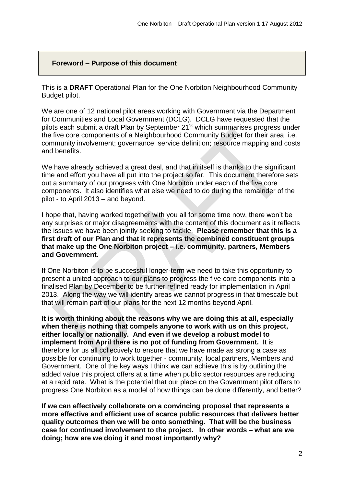### **Foreword – Purpose of this document**

This is a **DRAFT** Operational Plan for the One Norbiton Neighbourhood Community Budget pilot.

We are one of 12 national pilot areas working with Government via the Department for Communities and Local Government (DCLG). DCLG have requested that the pilots each submit a draft Plan by September 21<sup>st</sup> which summarises progress under the five core components of a Neighbourhood Community Budget for their area, i.e. community involvement; governance; service definition; resource mapping and costs and benefits.

We have already achieved a great deal, and that in itself is thanks to the significant time and effort you have all put into the project so far. This document therefore sets out a summary of our progress with One Norbiton under each of the five core components. It also identifies what else we need to do during the remainder of the pilot - to April 2013 – and beyond.

I hope that, having worked together with you all for some time now, there won't be any surprises or major disagreements with the content of this document as it reflects the issues we have been jointly seeking to tackle. **Please remember that this is a first draft of our Plan and that it represents the combined constituent groups that make up the One Norbiton project – i.e. community, partners, Members and Government.** 

If One Norbiton is to be successful longer-term we need to take this opportunity to present a united approach to our plans to progress the five core components into a finalised Plan by December to be further refined ready for implementation in April 2013. Along the way we will identify areas we cannot progress in that timescale but that will remain part of our plans for the next 12 months beyond April.

**It is worth thinking about the reasons why we are doing this at all, especially when there is nothing that compels anyone to work with us on this project, either locally or nationally. And even if we develop a robust model to implement from April there is no pot of funding from Government.** It is therefore for us all collectively to ensure that we have made as strong a case as possible for continuing to work together - community, local partners, Members and Government. One of the key ways I think we can achieve this is by outlining the added value this project offers at a time when public sector resources are reducing at a rapid rate. What is the potential that our place on the Government pilot offers to progress One Norbiton as a model of how things can be done differently, and better?

**If we can effectively collaborate on a convincing proposal that represents a more effective and efficient use of scarce public resources that delivers better quality outcomes then we will be onto something. That will be the business case for continued involvement to the project. In other words – what are we doing; how are we doing it and most importantly why?**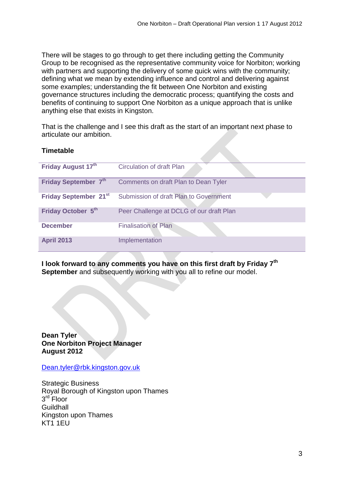There will be stages to go through to get there including getting the Community Group to be recognised as the representative community voice for Norbiton; working with partners and supporting the delivery of some quick wins with the community; defining what we mean by extending influence and control and delivering against some examples; understanding the fit between One Norbiton and existing governance structures including the democratic process; quantifying the costs and benefits of continuing to support One Norbiton as a unique approach that is unlike anything else that exists in Kingston.

That is the challenge and I see this draft as the start of an important next phase to articulate our ambition.

# **Timetable**

| Friday August 17th                | Circulation of draft Plan                |
|-----------------------------------|------------------------------------------|
| Friday September 7th              | Comments on draft Plan to Dean Tyler     |
| Friday September 21 <sup>st</sup> | Submission of draft Plan to Government   |
| Friday October 5th                | Peer Challenge at DCLG of our draft Plan |
| <b>December</b>                   | <b>Finalisation of Plan</b>              |
| <b>April 2013</b>                 | Implementation                           |

**I look forward to any comments you have on this first draft by Friday 7th September** and subsequently working with you all to refine our model.

**Dean Tyler One Norbiton Project Manager August 2012** 

[Dean.tyler@rbk.kingston.gov.uk](mailto:Dean.tyler@rbk.kingston.gov.uk)

Strategic Business Royal Borough of Kingston upon Thames 3<sup>rd</sup> Floor **Guildhall** Kingston upon Thames KT1 1EU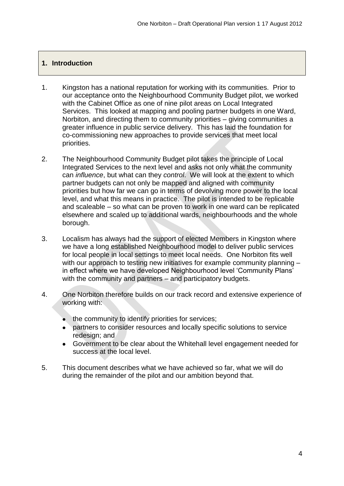# **1. Introduction**

- 1. Kingston has a national reputation for working with its communities. Prior to our acceptance onto the Neighbourhood Community Budget pilot, we worked with the Cabinet Office as one of nine pilot areas on Local Integrated Services. This looked at mapping and pooling partner budgets in one Ward, Norbiton, and directing them to community priorities – giving communities a greater influence in public service delivery. This has laid the foundation for co-commissioning new approaches to provide services that meet local priorities.
- 2. The Neighbourhood Community Budget pilot takes the principle of Local Integrated Services to the next level and asks not only what the community can *influence*, but what can they *control*. We will look at the extent to which partner budgets can not only be mapped and aligned with community priorities but how far we can go in terms of devolving more power to the local level, and what this means in practice. The pilot is intended to be replicable and scaleable – so what can be proven to work in one ward can be replicated elsewhere and scaled up to additional wards, neighbourhoods and the whole borough.
- 3. Localism has always had the support of elected Members in Kingston where we have a long established Neighbourhood model to deliver public services for local people in local settings to meet local needs. One Norbiton fits well with our approach to testing new initiatives for example community planning in effect where we have developed Neighbourhood level 'Community Plans' with the community and partners – and participatory budgets.
- 4. One Norbiton therefore builds on our track record and extensive experience of working with:
	- the community to identify priorities for services;  $\bullet$
	- partners to consider resources and locally specific solutions to service redesign; and
	- Government to be clear about the Whitehall level engagement needed for success at the local level.
- 5. This document describes what we have achieved so far, what we will do during the remainder of the pilot and our ambition beyond that.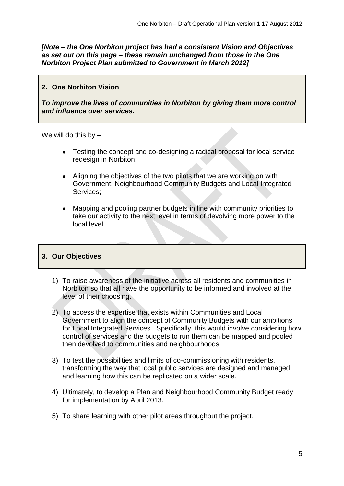*[Note – the One Norbiton project has had a consistent Vision and Objectives as set out on this page – these remain unchanged from those in the One Norbiton Project Plan submitted to Government in March 2012]*

# **2. One Norbiton Vision**

*To improve the lives of communities in Norbiton by giving them more control and influence over services.* 

We will do this by  $-$ 

- Testing the concept and co-designing a radical proposal for local service redesign in Norbiton;
- Aligning the objectives of the two pilots that we are working on with Government: Neighbourhood Community Budgets and Local Integrated Services;
- Mapping and pooling partner budgets in line with community priorities to  $\bullet$ take our activity to the next level in terms of devolving more power to the local level.

# **3. Our Objectives**

- 1) To raise awareness of the initiative across all residents and communities in Norbiton so that all have the opportunity to be informed and involved at the level of their choosing.
- 2) To access the expertise that exists within Communities and Local Government to align the concept of Community Budgets with our ambitions for Local Integrated Services. Specifically, this would involve considering how control of services and the budgets to run them can be mapped and pooled then devolved to communities and neighbourhoods.
- 3) To test the possibilities and limits of co-commissioning with residents, transforming the way that local public services are designed and managed, and learning how this can be replicated on a wider scale.
- 4) Ultimately, to develop a Plan and Neighbourhood Community Budget ready for implementation by April 2013.
- 5) To share learning with other pilot areas throughout the project.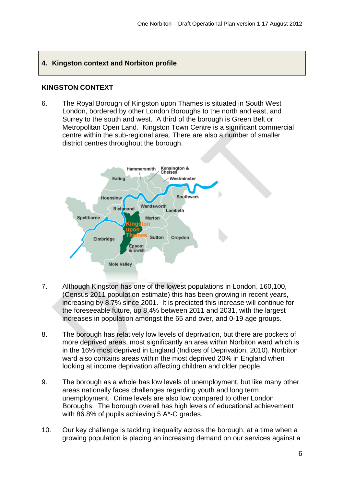# **4. Kingston context and Norbiton profile**

# **KINGSTON CONTEXT**

6. The Royal Borough of Kingston upon Thames is situated in South West London, bordered by other London Boroughs to the north and east, and Surrey to the south and west. A third of the borough is Green Belt or Metropolitan Open Land. Kingston Town Centre is a significant commercial centre within the sub-regional area. There are also a number of smaller district centres throughout the borough.



- 7. Although Kingston has one of the lowest populations in London, 160,100, (Census 2011 population estimate) this has been growing in recent years, increasing by 8.7% since 2001. It is predicted this increase will continue for the foreseeable future, up 8.4% between 2011 and 2031, with the largest increases in population amongst the 65 and over, and 0-19 age groups.
- 8. The borough has relatively low levels of deprivation, but there are pockets of more deprived areas, most significantly an area within Norbiton ward which is in the 16% most deprived in England (Indices of Deprivation, 2010). Norbiton ward also contains areas within the most deprived 20% in England when looking at income deprivation affecting children and older people.
- 9. The borough as a whole has low levels of unemployment, but like many other areas nationally faces challenges regarding youth and long term unemployment. Crime levels are also low compared to other London Boroughs. The borough overall has high levels of educational achievement with 86.8% of pupils achieving 5 A\*-C grades.
- 10. Our key challenge is tackling inequality across the borough, at a time when a growing population is placing an increasing demand on our services against a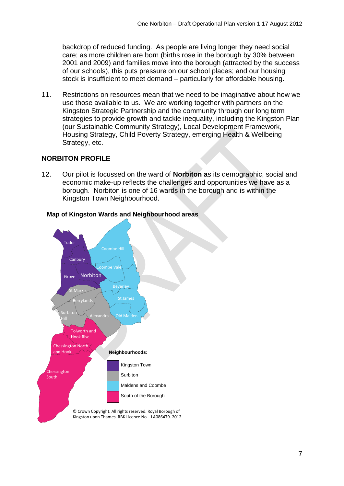backdrop of reduced funding. As people are living longer they need social care; as more children are born (births rose in the borough by 30% between 2001 and 2009) and families move into the borough (attracted by the success of our schools), this puts pressure on our school places; and our housing stock is insufficient to meet demand – particularly for affordable housing.

11. Restrictions on resources mean that we need to be imaginative about how we use those available to us. We are working together with partners on the Kingston Strategic Partnership and the community through our long term strategies to provide growth and tackle inequality, including the Kingston Plan (our Sustainable Community Strategy), Local Development Framework, Housing Strategy, Child Poverty Strategy, emerging Health & Wellbeing Strategy, etc.

# **NORBITON PROFILE**

12. Our pilot is focussed on the ward of **Norbiton a**s its demographic, social and economic make-up reflects the challenges and opportunities we have as a borough. Norbiton is one of 16 wards in the borough and is within the Kingston Town Neighbourhood.



# **Map of Kingston Wards and Neighbourhood areas**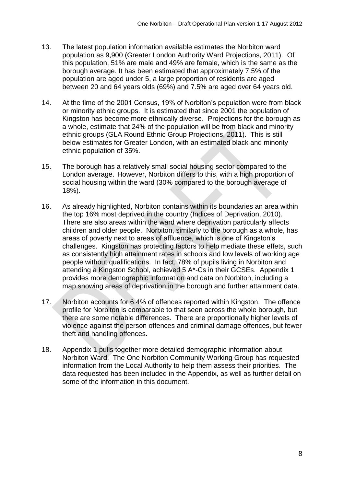- 13. The latest population information available estimates the Norbiton ward population as 9,900 (Greater London Authority Ward Projections, 2011). Of this population, 51% are male and 49% are female, which is the same as the borough average. It has been estimated that approximately 7.5% of the population are aged under 5, a large proportion of residents are aged between 20 and 64 years olds (69%) and 7.5% are aged over 64 years old.
- 14. At the time of the 2001 Census, 19% of Norbiton's population were from black or minority ethnic groups. It is estimated that since 2001 the population of Kingston has become more ethnically diverse. Projections for the borough as a whole, estimate that 24% of the population will be from black and minority ethnic groups (GLA Round Ethnic Group Projections, 2011). This is still below estimates for Greater London, with an estimated black and minority ethnic population of 35%.
- 15. The borough has a relatively small social housing sector compared to the London average. However, Norbiton differs to this, with a high proportion of social housing within the ward (30% compared to the borough average of 18%).
- 16. As already highlighted, Norbiton contains within its boundaries an area within the top 16% most deprived in the country (Indices of Deprivation, 2010). There are also areas within the ward where deprivation particularly affects children and older people. Norbiton, similarly to the borough as a whole, has areas of poverty next to areas of affluence, which is one of Kingston's challenges. Kingston has protecting factors to help mediate these effets, such as consistently high attainment rates in schools and low levels of working age people without qualifications. In fact, 78% of pupils living in Norbiton and attending a Kingston School, achieved 5 A\*-Cs in their GCSEs. Appendix 1 provides more demographic information and data on Norbiton, including a map showing areas of deprivation in the borough and further attainment data.
- 17. Norbiton accounts for 6.4% of offences reported within Kingston. The offence profile for Norbiton is comparable to that seen across the whole borough, but there are some notable differences. There are proportionally higher levels of violence against the person offences and criminal damage offences, but fewer theft and handling offences.
- 18. Appendix 1 pulls together more detailed demographic information about Norbiton Ward. The One Norbiton Community Working Group has requested information from the Local Authority to help them assess their priorities. The data requested has been included in the Appendix, as well as further detail on some of the information in this document.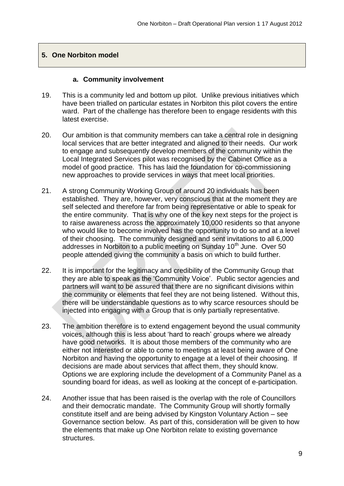# **5. One Norbiton model**

#### **a. Community involvement**

- 19. This is a community led and bottom up pilot. Unlike previous initiatives which have been trialled on particular estates in Norbiton this pilot covers the entire ward. Part of the challenge has therefore been to engage residents with this latest exercise.
- 20. Our ambition is that community members can take a central role in designing local services that are better integrated and aligned to their needs. Our work to engage and subsequently develop members of the community within the Local Integrated Services pilot was recognised by the Cabinet Office as a model of good practice. This has laid the foundation for co-commissioning new approaches to provide services in ways that meet local priorities.
- 21. A strong Community Working Group of around 20 individuals has been established. They are, however, very conscious that at the moment they are self selected and therefore far from being representative or able to speak for the entire community. That is why one of the key next steps for the project is to raise awareness across the approximately 10,000 residents so that anyone who would like to become involved has the opportunity to do so and at a level of their choosing. The community designed and sent invitations to all 6,000 addresses in Norbiton to a public meeting on Sunday 10<sup>th</sup> June. Over 50 people attended giving the community a basis on which to build further.
- 22. It is important for the legitimacy and credibility of the Community Group that they are able to speak as the 'Community Voice'. Public sector agencies and partners will want to be assured that there are no significant divisions within the community or elements that feel they are not being listened. Without this, there will be understandable questions as to why scarce resources should be injected into engaging with a Group that is only partially representative.
- 23. The ambition therefore is to extend engagement beyond the usual community voices, although this is less about 'hard to reach' groups where we already have good networks. It is about those members of the community who are either not interested or able to come to meetings at least being aware of One Norbiton and having the opportunity to engage at a level of their choosing. If decisions are made about services that affect them, they should know. Options we are exploring include the development of a Community Panel as a sounding board for ideas, as well as looking at the concept of e-participation.
- 24. Another issue that has been raised is the overlap with the role of Councillors and their democratic mandate. The Community Group will shortly formally constitute itself and are being advised by Kingston Voluntary Action – see Governance section below. As part of this, consideration will be given to how the elements that make up One Norbiton relate to existing governance structures.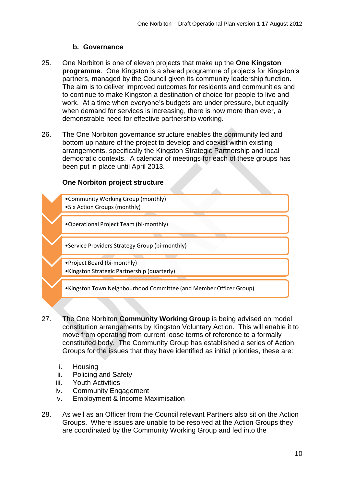#### **b. Governance**

- 25. One Norbiton is one of eleven projects that make up the **One Kingston programme**. One Kingston is a shared programme of projects for Kingston's partners, managed by the Council given its community leadership function. The aim is to deliver improved outcomes for residents and communities and to continue to make Kingston a destination of choice for people to live and work. At a time when everyone's budgets are under pressure, but equally when demand for services is increasing, there is now more than ever, a demonstrable need for effective partnership working.
- 26. The One Norbiton governance structure enables the community led and bottom up nature of the project to develop and coexist within existing arrangements, specifically the Kingston Strategic Partnership and local democratic contexts. A calendar of meetings for each of these groups has been put in place until April 2013.

#### **One Norbiton project structure**

- •Community Working Group (monthly) •5 x Action Groups (monthly) •Operational Project Team (bi-monthly) •Service Providers Strategy Group (bi-monthly) •Project Board (bi-monthly) •Kingston Strategic Partnership (quarterly) •Kingston Town Neighbourhood Committee (and Member Officer Group)
- 27. The One Norbiton **Community Working Group** is being advised on model constitution arrangements by Kingston Voluntary Action. This will enable it to move from operating from current loose terms of reference to a formally constituted body. The Community Group has established a series of Action Groups for the issues that they have identified as initial priorities, these are:
	- i. Housing
	- ii. Policing and Safety
	- iii. Youth Activities
	- iv. Community Engagement
	- v. Employment & Income Maximisation
- 28. As well as an Officer from the Council relevant Partners also sit on the Action Groups. Where issues are unable to be resolved at the Action Groups they are coordinated by the Community Working Group and fed into the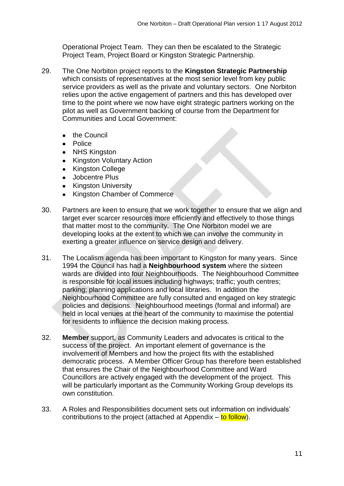Operational Project Team. They can then be escalated to the Strategic Project Team, Project Board or Kingston Strategic Partnership.

- 29. The One Norbiton project reports to the **Kingston Strategic Partnership** which consists of representatives at the most senior level from key public service providers as well as the private and voluntary sectors. One Norbiton relies upon the active engagement of partners and this has developed over time to the point where we now have eight strategic partners working on the pilot as well as Government backing of course from the Department for Communities and Local Government:
	- the Council
	- Police
	- $\bullet$ NHS Kingston
	- Kingston Voluntary Action
	- Kingston College  $\bullet$
	- Jobcentre Plus
	- Kingston University
	- Kingston Chamber of Commerce
- 30. Partners are keen to ensure that we work together to ensure that we align and target ever scarcer resources more efficiently and effectively to those things that matter most to the community. The One Norbiton model we are developing looks at the extent to which we can involve the community in exerting a greater influence on service design and delivery.
- 31. The Localism agenda has been important to Kingston for many years. Since 1994 the Council has had a **Neighbourhood system** where the sixteen wards are divided into four Neighbourhoods. The Neighbourhood Committee is responsible for local issues including highways; traffic; youth centres; parking; planning applications and local libraries. In addition the Neighbourhood Committee are fully consulted and engaged on key strategic policies and decisions. Neighbourhood meetings (formal and informal) are held in local venues at the heart of the community to maximise the potential for residents to influence the decision making process.
- 32. **Member** support, as Community Leaders and advocates is critical to the success of the project. An important element of governance is the involvement of Members and how the project fits with the established democratic process. A Member Officer Group has therefore been established that ensures the Chair of the Neighbourhood Committee and Ward Councillors are actively engaged with the development of the project. This will be particularly important as the Community Working Group develops its own constitution.
- 33. A Roles and Responsibilities document sets out information on individuals' contributions to the project (attached at Appendix  $-$  to follow).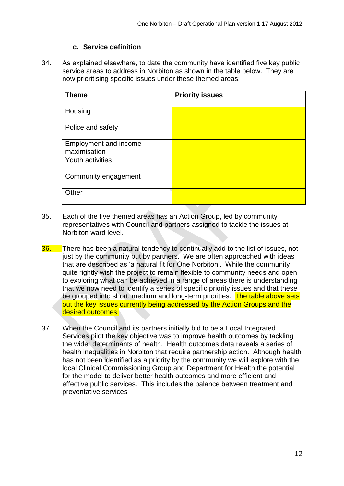#### **c. Service definition**

34. As explained elsewhere, to date the community have identified five key public service areas to address in Norbiton as shown in the table below. They are now prioritising specific issues under these themed areas:

| <b>Theme</b>            | <b>Priority issues</b> |
|-------------------------|------------------------|
| Housing                 |                        |
| Police and safety       |                        |
| Employment and income   |                        |
| maximisation            |                        |
| <b>Youth activities</b> |                        |
| Community engagement    |                        |
| Other                   |                        |

- 35. Each of the five themed areas has an Action Group, led by community representatives with Council and partners assigned to tackle the issues at Norbiton ward level.
- 36. There has been a natural tendency to continually add to the list of issues, not just by the community but by partners. We are often approached with ideas that are described as 'a natural fit for One Norbiton'. While the community quite rightly wish the project to remain flexible to community needs and open to exploring what can be achieved in a range of areas there is understanding that we now need to identify a series of specific priority issues and that these be grouped into short, medium and long-term priorities. The table above sets out the key issues currently being addressed by the Action Groups and the desired outcomes.
- 37. When the Council and its partners initially bid to be a Local Integrated Services pilot the key objective was to improve health outcomes by tackling the wider determinants of health. Health outcomes data reveals a series of health inequalities in Norbiton that require partnership action. Although health has not been identified as a priority by the community we will explore with the local Clinical Commissioning Group and Department for Health the potential for the model to deliver better health outcomes and more efficient and effective public services. This includes the balance between treatment and preventative services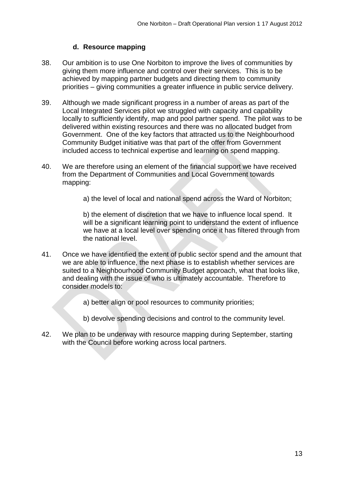# **d. Resource mapping**

- 38. Our ambition is to use One Norbiton to improve the lives of communities by giving them more influence and control over their services. This is to be achieved by mapping partner budgets and directing them to community priorities – giving communities a greater influence in public service delivery.
- 39. Although we made significant progress in a number of areas as part of the Local Integrated Services pilot we struggled with capacity and capability locally to sufficiently identify, map and pool partner spend. The pilot was to be delivered within existing resources and there was no allocated budget from Government. One of the key factors that attracted us to the Neighbourhood Community Budget initiative was that part of the offer from Government included access to technical expertise and learning on spend mapping.
- 40. We are therefore using an element of the financial support we have received from the Department of Communities and Local Government towards mapping:
	- a) the level of local and national spend across the Ward of Norbiton;

b) the element of discretion that we have to influence local spend. It will be a significant learning point to understand the extent of influence we have at a local level over spending once it has filtered through from the national level.

- 41. Once we have identified the extent of public sector spend and the amount that we are able to influence, the next phase is to establish whether services are suited to a Neighbourhood Community Budget approach, what that looks like, and dealing with the issue of who is ultimately accountable. Therefore to consider models to:
	- a) better align or pool resources to community priorities;
	- b) devolve spending decisions and control to the community level.
- 42. We plan to be underway with resource mapping during September, starting with the Council before working across local partners.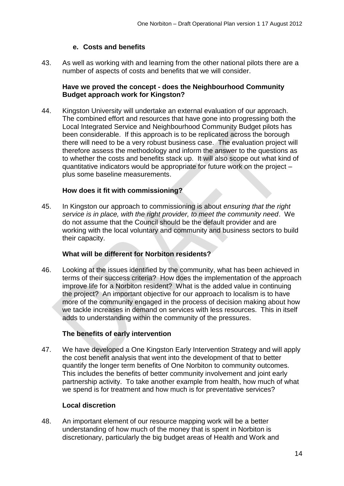## **e. Costs and benefits**

43. As well as working with and learning from the other national pilots there are a number of aspects of costs and benefits that we will consider.

## **Have we proved the concept - does the Neighbourhood Community Budget approach work for Kingston?**

44. Kingston University will undertake an external evaluation of our approach. The combined effort and resources that have gone into progressing both the Local Integrated Service and Neighbourhood Community Budget pilots has been considerable. If this approach is to be replicated across the borough there will need to be a very robust business case. The evaluation project will therefore assess the methodology and inform the answer to the questions as to whether the costs and benefits stack up. It will also scope out what kind of quantitative indicators would be appropriate for future work on the project – plus some baseline measurements.

#### **How does it fit with commissioning?**

45. In Kingston our approach to commissioning is about *ensuring that the right service is in place, with the right provider, to meet the community need*. We do not assume that the Council should be the default provider and are working with the local voluntary and community and business sectors to build their capacity.

#### **What will be different for Norbiton residents?**

46. Looking at the issues identified by the community, what has been achieved in terms of their success criteria? How does the implementation of the approach improve life for a Norbiton resident? What is the added value in continuing the project? An important objective for our approach to localism is to have more of the community engaged in the process of decision making about how we tackle increases in demand on services with less resources. This in itself adds to understanding within the community of the pressures.

#### **The benefits of early intervention**

47. We have developed a One Kingston Early Intervention Strategy and will apply the cost benefit analysis that went into the development of that to better quantify the longer term benefits of One Norbiton to community outcomes. This includes the benefits of better community involvement and joint early partnership activity. To take another example from health, how much of what we spend is for treatment and how much is for preventative services?

#### **Local discretion**

48. An important element of our resource mapping work will be a better understanding of how much of the money that is spent in Norbiton is discretionary, particularly the big budget areas of Health and Work and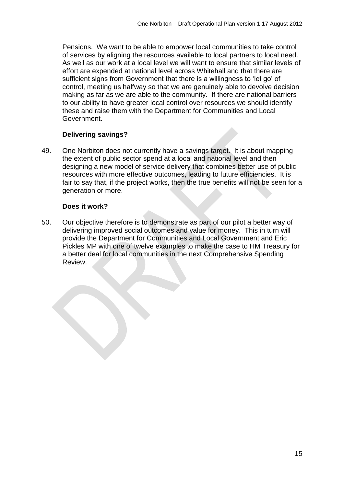Pensions. We want to be able to empower local communities to take control of services by aligning the resources available to local partners to local need. As well as our work at a local level we will want to ensure that similar levels of effort are expended at national level across Whitehall and that there are sufficient signs from Government that there is a willingness to 'let go' of control, meeting us halfway so that we are genuinely able to devolve decision making as far as we are able to the community. If there are national barriers to our ability to have greater local control over resources we should identify these and raise them with the Department for Communities and Local Government.

# **Delivering savings?**

49. One Norbiton does not currently have a savings target. It is about mapping the extent of public sector spend at a local and national level and then designing a new model of service delivery that combines better use of public resources with more effective outcomes, leading to future efficiencies. It is fair to say that, if the project works, then the true benefits will not be seen for a generation or more.

#### **Does it work?**

50. Our objective therefore is to demonstrate as part of our pilot a better way of delivering improved social outcomes and value for money. This in turn will provide the Department for Communities and Local Government and Eric Pickles MP with one of twelve examples to make the case to HM Treasury for a better deal for local communities in the next Comprehensive Spending Review.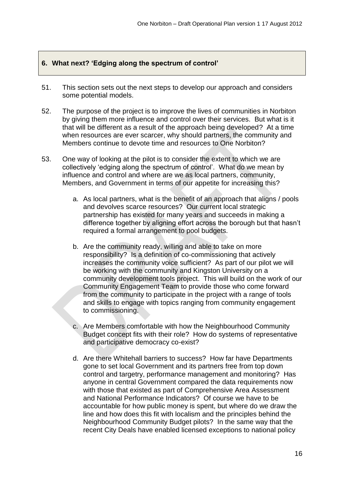# **6. What next? 'Edging along the spectrum of control'**

- 51. This section sets out the next steps to develop our approach and considers some potential models.
- 52. The purpose of the project is to improve the lives of communities in Norbiton by giving them more influence and control over their services. But what is it that will be different as a result of the approach being developed? At a time when resources are ever scarcer, why should partners, the community and Members continue to devote time and resources to One Norbiton?
- 53. One way of looking at the pilot is to consider the extent to which we are collectively 'edging along the spectrum of control'. What do we mean by influence and control and where are we as local partners, community, Members, and Government in terms of our appetite for increasing this?
	- a. As local partners, what is the benefit of an approach that aligns / pools and devolves scarce resources? Our current local strategic partnership has existed for many years and succeeds in making a difference together by aligning effort across the borough but that hasn't required a formal arrangement to pool budgets.
	- b. Are the community ready, willing and able to take on more responsibility? Is a definition of co-commissioning that actively increases the community voice sufficient? As part of our pilot we will be working with the community and Kingston University on a community development tools project. This will build on the work of our Community Engagement Team to provide those who come forward from the community to participate in the project with a range of tools and skills to engage with topics ranging from community engagement to commissioning.
	- c. Are Members comfortable with how the Neighbourhood Community Budget concept fits with their role? How do systems of representative and participative democracy co-exist?
	- d. Are there Whitehall barriers to success? How far have Departments gone to set local Government and its partners free from top down control and targetry, performance management and monitoring? Has anyone in central Government compared the data requirements now with those that existed as part of Comprehensive Area Assessment and National Performance Indicators? Of course we have to be accountable for how public money is spent, but where do we draw the line and how does this fit with localism and the principles behind the Neighbourhood Community Budget pilots? In the same way that the recent City Deals have enabled licensed exceptions to national policy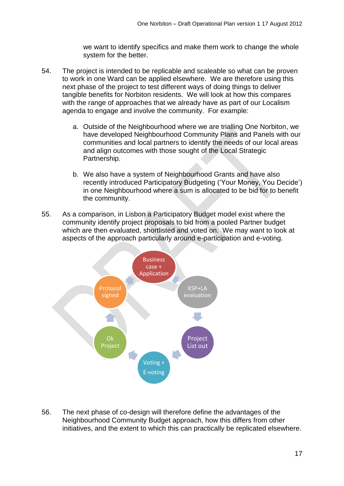we want to identify specifics and make them work to change the whole system for the better.

- 54. The project is intended to be replicable and scaleable so what can be proven to work in one Ward can be applied elsewhere. We are therefore using this next phase of the project to test different ways of doing things to deliver tangible benefits for Norbiton residents. We will look at how this compares with the range of approaches that we already have as part of our Localism agenda to engage and involve the community. For example:
	- a. Outside of the Neighbourhood where we are trialling One Norbiton, we have developed Neighbourhood Community Plans and Panels with our communities and local partners to identify the needs of our local areas and align outcomes with those sought of the Local Strategic Partnership.
	- b. We also have a system of Neighbourhood Grants and have also recently introduced Participatory Budgeting ('Your Money, You Decide') in one Neighbourhood where a sum is allocated to be bid for to benefit the community.
- 55. As a comparison, in Lisbon a Participatory Budget model exist where the community identify project proposals to bid from a pooled Partner budget which are then evaluated, shortlisted and voted on. We may want to look at aspects of the approach particularly around e-participation and e-voting.



56. The next phase of co-design will therefore define the advantages of the Neighbourhood Community Budget approach, how this differs from other initiatives, and the extent to which this can practically be replicated elsewhere.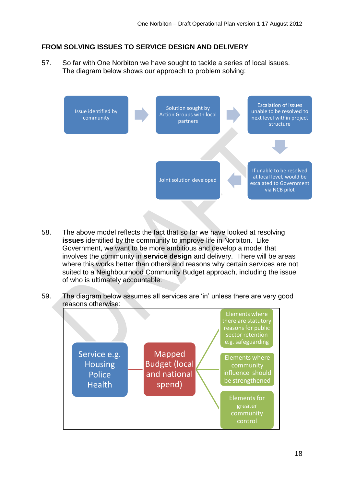# **FROM SOLVING ISSUES TO SERVICE DESIGN AND DELIVERY**

57. So far with One Norbiton we have sought to tackle a series of local issues. The diagram below shows our approach to problem solving:



- 58. The above model reflects the fact that so far we have looked at resolving **issues** identified by the community to improve life in Norbiton. Like Government, we want to be more ambitious and develop a model that involves the community in **service design** and delivery. There will be areas where this works better than others and reasons why certain services are not suited to a Neighbourhood Community Budget approach, including the issue of who is ultimately accountable.
- 59. The diagram below assumes all services are 'in' unless there are very good reasons otherwise:

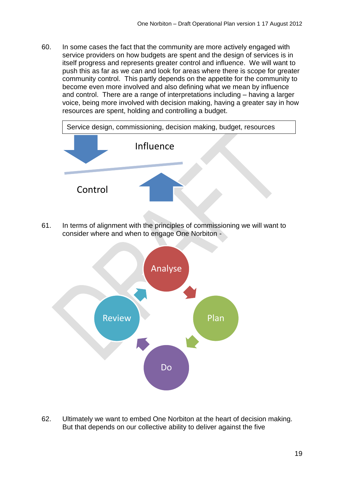60. In some cases the fact that the community are more actively engaged with service providers on how budgets are spent and the design of services is in itself progress and represents greater control and influence. We will want to push this as far as we can and look for areas where there is scope for greater community control. This partly depends on the appetite for the community to become even more involved and also defining what we mean by influence and control. There are a range of interpretations including – having a larger voice, being more involved with decision making, having a greater say in how resources are spent, holding and controlling a budget.



61. In terms of alignment with the principles of commissioning we will want to consider where and when to engage One Norbiton -



62. Ultimately we want to embed One Norbiton at the heart of decision making. But that depends on our collective ability to deliver against the five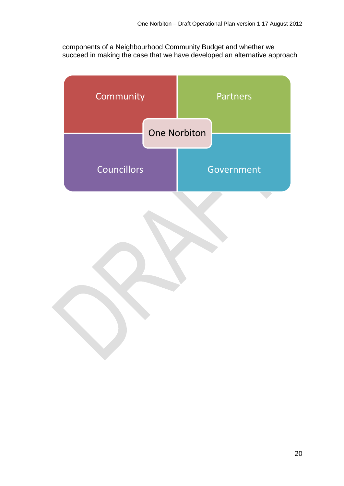components of a Neighbourhood Community Budget and whether we succeed in making the case that we have developed an alternative approach

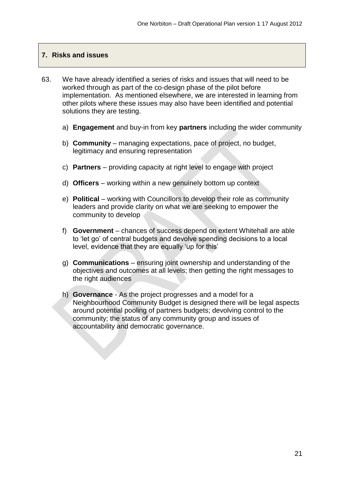## **7. Risks and issues**

- 63. We have already identified a series of risks and issues that will need to be worked through as part of the co-design phase of the pilot before implementation. As mentioned elsewhere, we are interested in learning from other pilots where these issues may also have been identified and potential solutions they are testing.
	- a) **Engagement** and buy-in from key **partners** including the wider community
	- b) **Community** managing expectations, pace of project, no budget, legitimacy and ensuring representation
	- c) **Partners** providing capacity at right level to engage with project
	- d) **Officers** working within a new genuinely bottom up context
	- e) **Political** working with Councillors to develop their role as community leaders and provide clarity on what we are seeking to empower the community to develop
	- f) **Government** chances of success depend on extent Whitehall are able to 'let go' of central budgets and devolve spending decisions to a local level, evidence that they are equally 'up for this'
	- g) **Communications** ensuring joint ownership and understanding of the objectives and outcomes at all levels; then getting the right messages to the right audiences
	- h) **Governance** As the project progresses and a model for a Neighbourhood Community Budget is designed there will be legal aspects around potential pooling of partners budgets; devolving control to the community; the status of any community group and issues of accountability and democratic governance.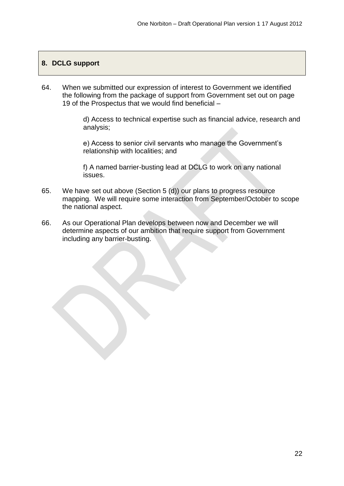# **8. DCLG support**

64. When we submitted our expression of interest to Government we identified the following from the package of support from Government set out on page 19 of the Prospectus that we would find beneficial –

> d) Access to technical expertise such as financial advice, research and analysis;

e) Access to senior civil servants who manage the Government's relationship with localities; and

f) A named barrier-busting lead at DCLG to work on any national issues.

- 65. We have set out above (Section 5 (d)) our plans to progress resource mapping. We will require some interaction from September/October to scope the national aspect.
- 66. As our Operational Plan develops between now and December we will determine aspects of our ambition that require support from Government including any barrier-busting.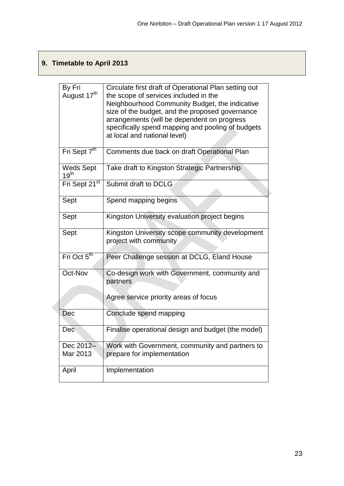# **9. Timetable to April 2013**

| By Fri<br>August 17 <sup>th</sup>    | Circulate first draft of Operational Plan setting out<br>the scope of services included in the<br>Neighbourhood Community Budget, the indicative<br>size of the budget, and the proposed governance<br>arrangements (will be dependent on progress<br>specifically spend mapping and pooling of budgets<br>at local and national level) |
|--------------------------------------|-----------------------------------------------------------------------------------------------------------------------------------------------------------------------------------------------------------------------------------------------------------------------------------------------------------------------------------------|
| Fri Sept $\overline{7}^{\text{th}}$  | Comments due back on draft Operational Plan                                                                                                                                                                                                                                                                                             |
| <b>Weds Sept</b><br>19 <sup>th</sup> | Take draft to Kingston Strategic Partnership                                                                                                                                                                                                                                                                                            |
| Fri Sept 21 <sup>st</sup>            | Submit draft to DCLG                                                                                                                                                                                                                                                                                                                    |
| Sept                                 | Spend mapping begins                                                                                                                                                                                                                                                                                                                    |
| Sept                                 | Kingston University evaluation project begins                                                                                                                                                                                                                                                                                           |
| Sept                                 | Kingston University scope community development<br>project with community                                                                                                                                                                                                                                                               |
| Fri Oct 5 <sup>th</sup>              | Peer Challenge session at DCLG, Eland House                                                                                                                                                                                                                                                                                             |
| Oct-Nov                              | Co-design work with Government, community and<br>partners<br>Agree service priority areas of focus                                                                                                                                                                                                                                      |
| Dec                                  | Conclude spend mapping                                                                                                                                                                                                                                                                                                                  |
| Dec                                  | Finalise operational design and budget (the model)                                                                                                                                                                                                                                                                                      |
| Dec 2012-<br>Mar 2013                | Work with Government, community and partners to<br>prepare for implementation                                                                                                                                                                                                                                                           |
| April                                | Implementation                                                                                                                                                                                                                                                                                                                          |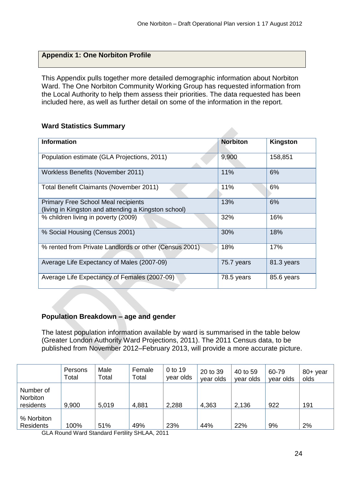# **Appendix 1: One Norbiton Profile**

This Appendix pulls together more detailed demographic information about Norbiton Ward. The One Norbiton Community Working Group has requested information from the Local Authority to help them assess their priorities. The data requested has been included here, as well as further detail on some of the information in the report.

| <b>Information</b>                                                                                 | <b>Norbiton</b> | Kingston   |
|----------------------------------------------------------------------------------------------------|-----------------|------------|
| Population estimate (GLA Projections, 2011)                                                        | 9,900           | 158,851    |
| Workless Benefits (November 2011)                                                                  | 11%             | 6%         |
| Total Benefit Claimants (November 2011)                                                            | 11%             | 6%         |
| <b>Primary Free School Meal recipients</b><br>(living in Kingston and attending a Kingston school) | 13%             | 6%         |
| % children living in poverty (2009)                                                                | 32%             | 16%        |
| % Social Housing (Census 2001)                                                                     | 30%             | 18%        |
| % rented from Private Landlords or other (Census 2001)                                             | 18%             | 17%        |
| Average Life Expectancy of Males (2007-09)                                                         | 75.7 years      | 81.3 years |
| Average Life Expectancy of Females (2007-09)                                                       | 78.5 years      | 85.6 years |

#### **Ward Statistics Summary**

#### **Population Breakdown – age and gender**

The latest population information available by ward is summarised in the table below (Greater London Authority Ward Projections, 2011). The 2011 Census data, to be published from November 2012–February 2013, will provide a more accurate picture.

|                                           | Persons<br>Total | Male<br>Total | Female<br>Total | 0 to 19<br>year olds | 20 to 39<br>year olds | 40 to 59<br>year olds | 60-79<br>year olds | 80+ year<br>olds |
|-------------------------------------------|------------------|---------------|-----------------|----------------------|-----------------------|-----------------------|--------------------|------------------|
| Number of<br><b>Norbiton</b><br>residents | 9,900            | 5,019         | 4,881           | 2,288                | 4,363                 | 2,136                 | 922                | 191              |
| % Norbiton<br><b>Residents</b>            | 100%             | 51%           | 49%             | 23%                  | 44%                   | 22%                   | 9%                 | 2%               |

GLA Round Ward Standard Fertility SHLAA, 2011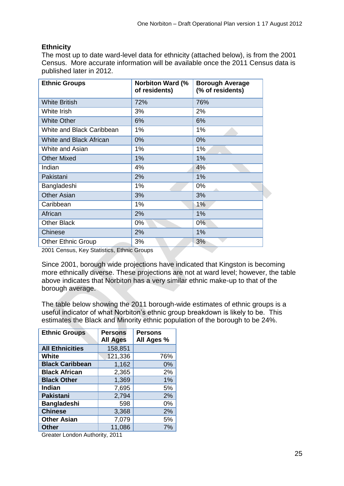# **Ethnicity**

The most up to date ward-level data for ethnicity (attached below), is from the 2001 Census. More accurate information will be available once the 2011 Census data is published later in 2012.

| <b>Ethnic Groups</b>      | <b>Norbiton Ward (%</b><br>of residents) | <b>Borough Average</b><br>(% of residents) |
|---------------------------|------------------------------------------|--------------------------------------------|
| <b>White British</b>      | 72%                                      | 76%                                        |
| White Irish               | 3%                                       | 2%                                         |
| <b>White Other</b>        | 6%                                       | 6%                                         |
| White and Black Caribbean | 1%                                       | 1%                                         |
| White and Black African   | 0%                                       | 0%                                         |
| White and Asian           | 1%                                       | 1%                                         |
| <b>Other Mixed</b>        | 1%                                       | 1%                                         |
| Indian                    | 4%                                       | 4%                                         |
| Pakistani                 | 2%                                       | 1%                                         |
| Bangladeshi               | 1%                                       | 0%                                         |
| <b>Other Asian</b>        | 3%                                       | 3%                                         |
| Caribbean                 | 1%                                       | 1%                                         |
| African                   | 2%                                       | 1%                                         |
| <b>Other Black</b>        | $0\%$                                    | $0\%$                                      |
| Chinese                   | 2%                                       | 1%                                         |
| <b>Other Ethnic Group</b> | 3%                                       | 3%                                         |

2001 Census, Key Statistics, Ethnic Groups

Since 2001, borough wide projections have indicated that Kingston is becoming more ethnically diverse. These projections are not at ward level; however, the table above indicates that Norbiton has a very similar ethnic make-up to that of the borough average.

The table below showing the 2011 borough-wide estimates of ethnic groups is a useful indicator of what Norbiton's ethnic group breakdown is likely to be. This estimates the Black and Minority ethnic population of the borough to be 24%.

| <b>Ethnic Groups</b>   | <b>Persons</b><br><b>All Ages</b> | <b>Persons</b><br>All Ages % |
|------------------------|-----------------------------------|------------------------------|
| <b>All Ethnicities</b> | 158,851                           |                              |
| <b>White</b>           | 121,336                           | 76%                          |
| <b>Black Caribbean</b> | 1,162                             | 0%                           |
| <b>Black African</b>   | 2,365                             | 2%                           |
| <b>Black Other</b>     | 1,369                             | 1%                           |
| <b>Indian</b>          | 7,695                             | 5%                           |
| <b>Pakistani</b>       | 2,794                             | 2%                           |
| <b>Bangladeshi</b>     | 598                               | 0%                           |
| <b>Chinese</b>         | 3,368                             | 2%                           |
| <b>Other Asian</b>     | 7,079                             | 5%                           |
| <b>Other</b>           | 11,086                            | 7%                           |

Greater London Authority, 2011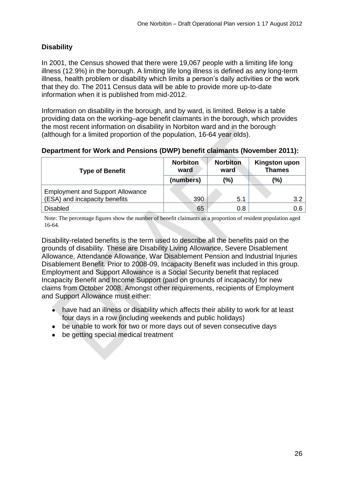# **Disability**

In 2001, the Census showed that there were 19,067 people with a limiting life long illness (12.9%) in the borough. A limiting life long illness is defined as any long-term illness, health problem or disability which limits a person's daily activities or the work that they do. The 2011 Census data will be able to provide more up-to-date information when it is published from mid-2012.

Information on disability in the borough, and by ward, is limited. Below is a table providing data on the working–age benefit claimants in the borough, which provides the most recent information on disability in Norbiton ward and in the borough (although for a limited proportion of the population, 16-64 year olds).

#### **Department for Work and Pensions (DWP) benefit claimants (November 2011):**

| <b>Type of Benefit</b>                  | <b>Norbiton</b><br>ward | <b>Norbiton</b><br>ward | <b>Kingston upon</b><br><b>Thames</b> |
|-----------------------------------------|-------------------------|-------------------------|---------------------------------------|
|                                         | (numbers)               | (%)                     | (%)                                   |
| <b>Employment and Support Allowance</b> |                         |                         |                                       |
| (ESA) and incapacity benefits           | 390                     | 5.1                     | 3.2                                   |
| <b>Disabled</b>                         | 65                      | 0.8                     | 0.6                                   |

Note: The percentage figures show the number of benefit claimants as a proportion of resident population aged 16-64.

Disability-related benefits is the term used to describe all the benefits paid on the grounds of disability. These are Disability Living Allowance, Severe Disablement Allowance, Attendance Allowance, War Disablement Pension and Industrial Injuries Disablement Benefit. Prior to 2008-09, Incapacity Benefit was included in this group. Employment and Support Allowance is a Social Security benefit that replaced Incapacity Benefit and Income Support (paid on grounds of incapacity) for new claims from October 2008. Amongst other requirements, recipients of Employment and Support Allowance must either:

- have had an illness or disability which affects their ability to work for at least four days in a row (including weekends and public holidays)
- be unable to work for two or more days out of seven consecutive days
- be getting special medical treatment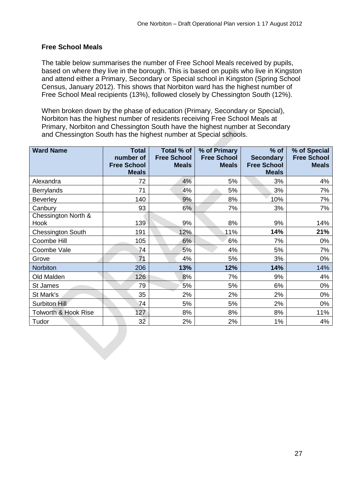# **Free School Meals**

The table below summarises the number of Free School Meals received by pupils, based on where they live in the borough. This is based on pupils who live in Kingston and attend either a Primary, Secondary or Special school in Kingston (Spring School Census, January 2012). This shows that Norbiton ward has the highest number of Free School Meal recipients (13%), followed closely by Chessington South (12%).

When broken down by the phase of education (Primary, Secondary or Special), Norbiton has the highest number of residents receiving Free School Meals at Primary, Norbiton and Chessington South have the highest number at Secondary and Chessington South has the highest number at Special schools.

| <b>Ward Name</b>                | <b>Total</b><br>number of<br><b>Free School</b><br><b>Meals</b> | Total % of<br><b>Free School</b><br><b>Meals</b> | % of Primary<br><b>Free School</b><br><b>Meals</b> | $%$ of<br><b>Secondary</b><br><b>Free School</b><br><b>Meals</b> | % of Special<br><b>Free School</b><br><b>Meals</b> |
|---------------------------------|-----------------------------------------------------------------|--------------------------------------------------|----------------------------------------------------|------------------------------------------------------------------|----------------------------------------------------|
| Alexandra                       | 72                                                              | 4%                                               | 5%                                                 | 3%                                                               | 4%                                                 |
| <b>Berrylands</b>               | 71                                                              | 4%                                               | 5%                                                 | 3%                                                               | 7%                                                 |
| <b>Beverley</b>                 | 140                                                             | 9%                                               | 8%                                                 | 10%                                                              | 7%                                                 |
| Canbury                         | 93                                                              | 6%                                               | 7%                                                 | 3%                                                               | 7%                                                 |
| Chessington North &<br>Hook     | 139                                                             | 9%                                               | 8%                                                 | 9%                                                               | 14%                                                |
| <b>Chessington South</b>        | 191                                                             | 12%                                              | 11%                                                | 14%                                                              | 21%                                                |
| Coombe Hill                     | 105                                                             | 6%                                               | 6%                                                 | 7%                                                               | 0%                                                 |
| Coombe Vale                     | 74                                                              | 5%                                               | 4%                                                 | 5%                                                               | 7%                                                 |
| Grove                           | 71                                                              | 4%                                               | 5%                                                 | 3%                                                               | 0%                                                 |
| <b>Norbiton</b>                 | 206                                                             | 13%                                              | 12%                                                | 14%                                                              | 14%                                                |
| Old Malden                      | 126                                                             | 8%                                               | 7%                                                 | 9%                                                               | 4%                                                 |
| St James                        | 79                                                              | 5%                                               | 5%                                                 | 6%                                                               | 0%                                                 |
| St Mark's                       | 35                                                              | 2%                                               | 2%                                                 | 2%                                                               | $0\%$                                              |
| Surbiton Hill                   | 74                                                              | 5%                                               | 5%                                                 | 2%                                                               | 0%                                                 |
| <b>Tolworth &amp; Hook Rise</b> | 127                                                             | 8%                                               | 8%                                                 | 8%                                                               | 11%                                                |
| Tudor                           | 32                                                              | 2%                                               | 2%                                                 | $1\%$                                                            | 4%                                                 |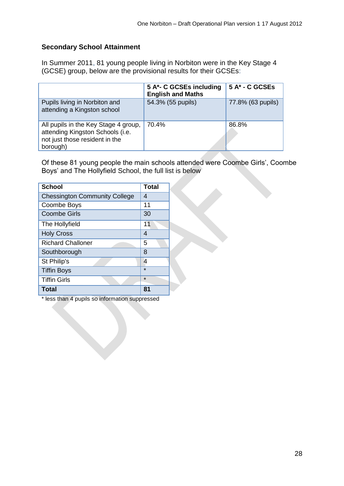# **Secondary School Attainment**

In Summer 2011, 81 young people living in Norbiton were in the Key Stage 4 (GCSE) group, below are the provisional results for their GCSEs:

|                                                                                                                        | 5 A*- C GCSEs including<br><b>English and Maths</b> | 5 A* - C GCSEs    |
|------------------------------------------------------------------------------------------------------------------------|-----------------------------------------------------|-------------------|
| Pupils living in Norbiton and<br>attending a Kingston school                                                           | 54.3% (55 pupils)                                   | 77.8% (63 pupils) |
| All pupils in the Key Stage 4 group,<br>attending Kingston Schools (i.e.<br>not just those resident in the<br>borough) | 70.4%                                               | 86.8%             |

Of these 81 young people the main schools attended were Coombe Girls', Coombe Boys' and The Hollyfield School, the full list is below

| <b>School</b>                        | <b>Total</b> |
|--------------------------------------|--------------|
| <b>Chessington Community College</b> | 4            |
| Coombe Boys                          | 11           |
| <b>Coombe Girls</b>                  | 30           |
| The Hollyfield                       | 11           |
| <b>Holy Cross</b>                    | 4            |
| <b>Richard Challoner</b>             | 5            |
| Southborough                         | 8            |
| St Philip's                          | 4            |
| <b>Tiffin Boys</b>                   | $\star$      |
| <b>Tiffin Girls</b>                  | $\star$      |
| <b>Total</b>                         | 81           |

\* less than 4 pupils so information suppressed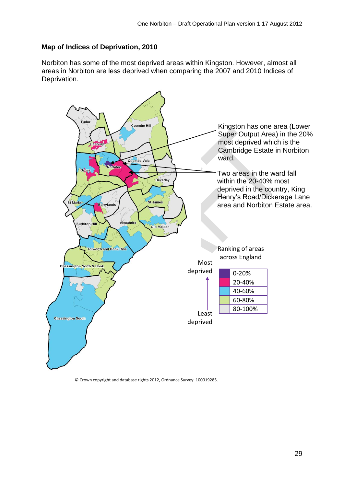# **Map of Indices of Deprivation, 2010**

Norbiton has some of the most deprived areas within Kingston. However, almost all areas in Norbiton are less deprived when comparing the 2007 and 2010 Indices of Deprivation.



© Crown copyright and database rights 2012, Ordnance Survey: 100019285.